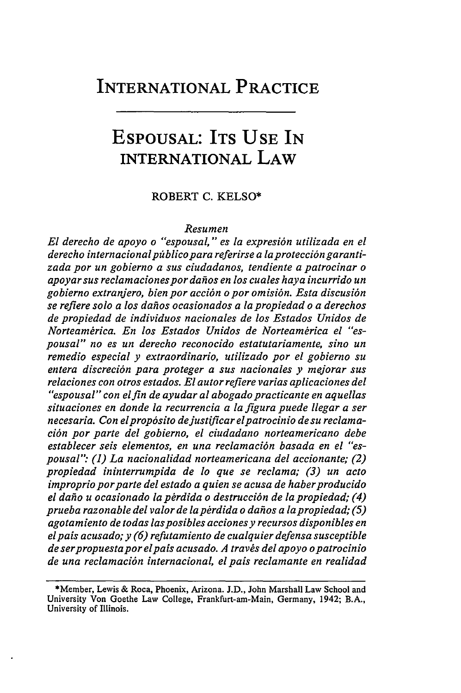## INTERNATIONAL PRACTICE

# **ESPOUSAL:** ITS **USE IN** INTERNATIONAL LAW

### ROBERT C. KELSO\*

#### *Resumen*

*El derecho de apoyo o "espousal," es la expresi6n utilizada en el* derecho internacional público para referirse a la protección garanti*zada por un gobierno a sus ciudadanos, tendiente a patrocinar o apoyarsus reclamacionespordahos en los cuales haya incurrido un gobierno extranjero, bien por acci6n o por omisi6n. Esta discusi6n se refiere solo a los dahos ocasionados a lapropiedad o a derechos de propiedad de individuos nacionales de los Estados Unidos de* Norteamérica. En los Estados Unidos de Norteamérica el "es*pousal" no es un derecho reconocido estatutariamente, sino un remedio especial y extraordinario, utilizado por el gobierno su entera discreci6n para proteger a sus nacionales y mejorar sus relaciones con otros estados. El autorrefiere varias aplicaciones del "espousal" con elfin de ayudar al abogadopracticante en aquellas situaciones en donde la recurrencia a la figura puede llegar a ser necesaria. Con elprop6sito dejustificar elpatrocinio de su reclamaci6n por parte del gobierno, el ciudadano norteamericano debe establecer seis elementos, en una reclamaci6n basada en el "espousal". (1) La nacionalidad norteamericana del accionante; (2) propiedad ininterrumpida de lo que se reclama; (3) un acto improprioporparte del estado a quien se acusa de haberproducido* el daño u ocasionado la pérdida o destrucción de la propiedad; (4) *prueba razonable del valor de lap~rdida o dahos a lapropiedad; (5) agotamiento de todas lasposibles accionesy recursos disponibles en elpais acusado; y (6) refutamiento de cualquier defensa susceptible de serpropuestapor elpais acusado. A travis del apoyo opatrocinio de una reclamaci6n internacional, elpais reclamante en realidad*

<sup>\*</sup>Member, Lewis & Roca, Phoenix, Arizona. J.D., John Marshall Law School and University Von Goethe Law College, Frankfurt-am-Main, Germany, 1942; B.A., University of Illinois.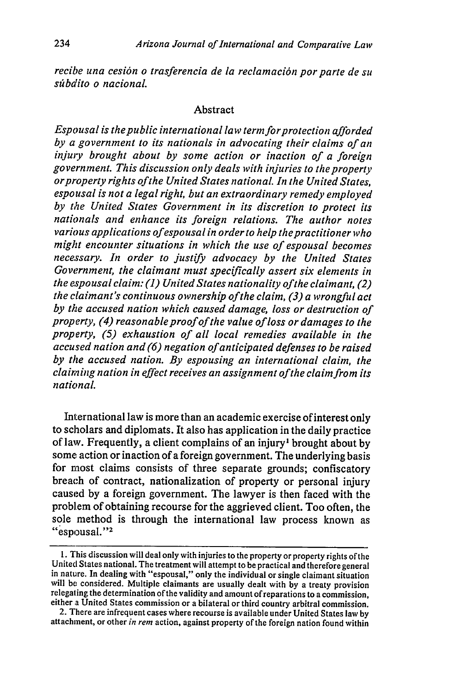*recibe una cesi6n o trasferencia de la reclamaci6n por parte de su sfibdito o nacional.*

#### Abstract

*Espousal is thepublic international law term forprotection afforded by a government to its nationals in advocating their claims of an injury brought about by some action or inaction of a foreign government. This discussion only deals with injuries to the property orproperty rights ofthe United States national. In the United States, espousal is not a legal right, but an extraordinary remedy employed by the United States Government in its discretion to protect its nationals and enhance its foreign relations. The author notes various applications of espousal in order to help thepractitioner who might encounter situations in which the use of espousal becomes necessary. In order to justify advocacy by the United States Government, the claimant must specifically assert six elements in the espousal claim: (1) United States nationality ofthe claimant, (2) the claimant's continuous ownership of the claim, (3) a wrongful act by the accused nation which caused damage, loss or destruction of property, (4) reasonable proof of the value ofloss or damages to the property, (5) exhaustion of all local remedies available in the accused nation and (6) negation of anticipated defenses to be raised by the accused nation. By espousing an international claim, the claiming nation in effect receives an assignment ofthe claim from its national.*

International law is more than an academic exercise of interest only to scholars and diplomats. It also has application in the daily practice of law. Frequently, a client complains of an injury' brought about by some action or inaction of a foreign government. The underlying basis for most claims consists of three separate grounds; confiscatory breach of contract, nationalization of property or personal injury caused by a foreign government. The lawyer is then faced with the problem of obtaining recourse for the aggrieved client. Too often, the sole method is through the international law process known as "espousal."<sup>2</sup>

<sup>1.</sup> This discussion will deal only with injuries to the property or property rights of the United States national. The treatment will attempt to be practical and therefore general in nature. In dealing with "espousal," only the individual or single claimant situation will be considered. Multiple claimants are usually dealt with by a treaty provision relegating the determination of the validity and amount of reparations to a commission, either a United States commission or a bilateral or third country arbitral commission.

<sup>2.</sup> There are infrequent cases where recourse is available under United States law **by** attachment, or other *in rem* action, against property of the foreign nation found within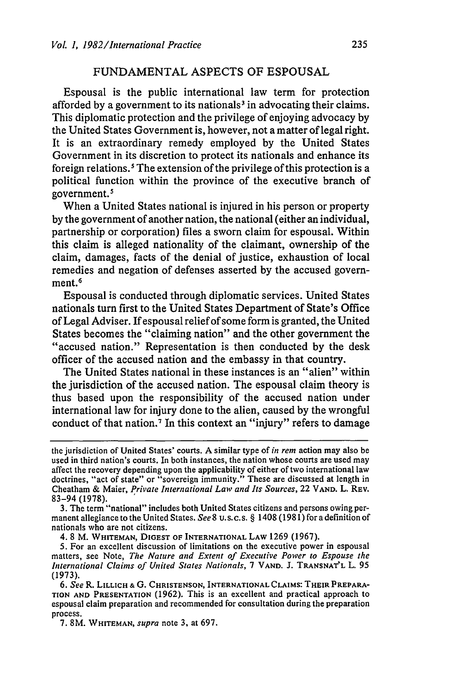## FUNDAMENTAL ASPECTS OF ESPOUSAL

Espousal is the public international law term for protection afforded by a government to its nationals<sup>3</sup> in advocating their claims. This diplomatic protection and the privilege of enjoying advocacy by the United States Government is, however, not a matter of legal right. It is an extraordinary remedy employed by the United States Government in its discretion to protect its nationals and enhance its foreign relations.' The extension of the privilege of this protection is a political function within the province of the executive branch of government.'

When a United States national is injured in his person or property by the government of another nation, the national (either an individual, partnership or corporation) files a sworn claim for espousal. Within this claim is alleged nationality of the claimant, ownership of the claim, damages, facts of the denial of justice, exhaustion of local remedies and negation of defenses asserted by the accused government.<sup>6</sup>

Espousal is conducted through diplomatic services. United States nationals turn first to the United States Department of State's Office of Legal Adviser. If espousal relief of some form is granted, the United States becomes the "claiming nation" and the other government the "accused nation." Representation is then conducted by the desk officer of the accused nation and the embassy in that country.

The United States national in these instances is an "alien" within the jurisdiction of the accused nation. The espousal claim theory is thus based upon the responsibility of the accused nation under international law for injury done to the alien, caused by the wrongful conduct of that nation.<sup>7</sup> In this context an "injury" refers to damage

3. The term "national" includes both United States citizens and persons owing permanent allegiance to the United States. *See* **8** u.s.c.s. § 1408 (1981) for a definition of nationals who are not citizens.

4. 8 M. **WHITEMAN, DIGEST** OF INTERNATIONAL **LAW 1269** (1967).

5. For an excellent discussion of limitations on the executive power in espousal matters, see Note, *The Nature and Extent of Executive Power to Espouse the International Claims of United States Nationals,* 7 **VAND. J. TRANSNAT'L** L. 95 (1973).

the jurisdiction of United States' courts. A similar type of *in rem* action may also be used in third nation's courts. In both instances, the nation whose courts are used may affect the recovery depending upon the applicability of either of two international law doctrines, "act of state" or "sovereign immunity." These are discussed at length in Cheatham & Maier, *Private International Law and Its Sources,* 22 **VAND.** L. REV. 83-94 (1978).

*<sup>6.</sup> See* R. LILLICH **&** G. **CHRISTENSON,** INTERNATIONAL CLAIMS: THEIR PREPARA-**TION AND PRESENTATION** (1962). This is an excellent and practical approach to espousal claim preparation and recommended for consultation during the preparation process.

<sup>7. 8</sup>M. WHITEMAN, *supra* note 3, at 697.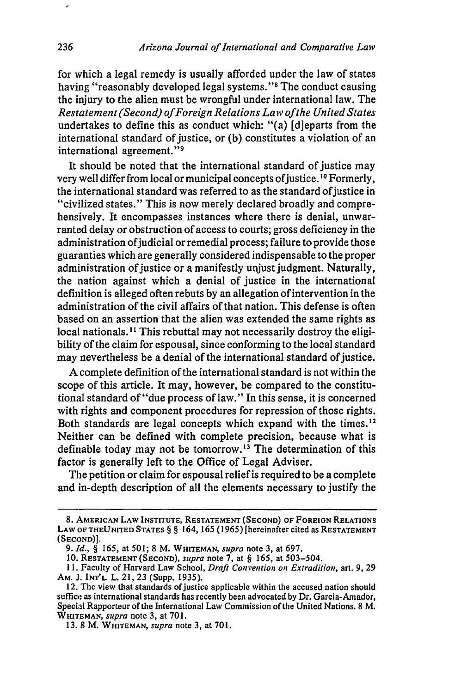for which a legal remedy is usually afforded under the law of states having "reasonably developed legal systems."<sup>8</sup> The conduct causing the injury to the alien must be wrongful under international law. The *Restatement (Second) ofForeign Relations Law ofthe United States* undertakes to define this as conduct which: "(a) [djeparts from the international standard of justice, or (b) constitutes a violation of an international agreement."<sup>9</sup>

It should be noted that the international standard of justice may very well differ from local or municipal concepts ofjustice. **1 <sup>0</sup>**Formerly, the international standard was referred to as the standard of justice in "civilized states." This is now merely declared broadly and comprehensively. It encompasses instances where there is denial, unwarranted delay or obstruction of access to courts; gross deficiency in the administration of judicial or remedial process; failure to provide those guaranties which are generally considered indispensable to the proper administration of justice or a manifestly unjust judgment. Naturally, the nation against which a denial of justice in the international definition is alleged often rebuts by an allegation of intervention in the administration of the civil affairs of that nation. This defense is often based on an assertion that the alien was extended the same rights as local nationals.<sup>11</sup> This rebuttal may not necessarily destroy the eligibility of the claim for espousal, since conforming to the local standard may nevertheless be a denial of the international standard of justice.

A complete definition of the international standard is not within the scope of this article. It may, however, be compared to the constitutional standard of"due process of law." In this sense, it is concerned with rights and component procedures for repression of those rights. Both standards are legal concepts which expand with the times.<sup>12</sup> Neither can be defined with complete precision, because what is definable today may not be tomorrow.13 The determination of this factor is generally left to the Office of Legal Adviser.

The petition or claim for espousal relief is required to be a complete and in-depth description of all the elements necessary to justify the

 $\overline{\phantom{a}}$ 

**<sup>8.</sup> AMERICAN LAW INSTITUTE, RESTATEMENT (SECOND) OF FOREIGN RELATIONS LAW OF THEUNITED STATES** *§ §* 164, **165 (1965)** [hereinafter cited as **RESTATEMENT (SECOND)].**

**<sup>9.</sup>** *Id., §* 165, at 501; 8 M. WHITEMAN, *supra* note 3, at 697.

**<sup>10.</sup> RESTATEMENT (SECOND),** *supra* note **7,** at § **165,** at 503-504.

<sup>11.</sup> Faculty of Harvard Law School, *Draft Convention on Extradition,* art. 9, 29 AM. **J. INT'L.** L. 21, 23 (Supp. 1935).

<sup>12.</sup> The view that standards of justice applicable within the accused nation should suffice as international standards has recently been advocated by Dr. Garcia-Amador, Special Rapporteur of the International Law Commission of the United Nations. 8 M. WHITEMAN, *supra* note 3, at 701.

<sup>13. 8</sup> M. WHITEMAN, *supra* note 3, at 701.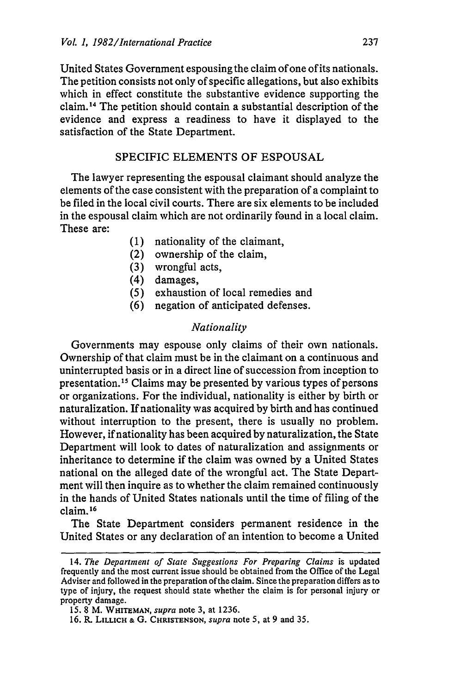United States Government espousing the claim of one of its nationals. The petition consists not only of specific allegations, but also exhibits which in effect constitute the substantive evidence supporting the claim. 14 The petition should contain a substantial description of the evidence and express a readiness to have it displayed to the satisfaction of the State Department.

## SPECIFIC ELEMENTS OF ESPOUSAL

The lawyer representing the espousal claimant should analyze the elements of the case consistent with the preparation of a complaint to be filed in the local civil courts. There are six elements to be included in the espousal claim which are not ordinarily found in a local claim. These are:

- (1) nationality of the claimant,
- (2) ownership of the claim,
- (3) wrongful acts,
- (4) damages,
- *(5)* exhaustion of local remedies and
- (6) negation of anticipated defenses.

#### *Nationality*

Governments may espouse only claims of their own nationals. Ownership of that claim must be in the claimant on a continuous and uninterrupted basis or in a direct line of succession from inception to presentation.<sup>15</sup> Claims may be presented by various types of persons or organizations. For the individual, nationality is either by birth or naturalization. If nationality was acquired by birth and has continued without interruption to the present, there is usually no problem. However, if nationality has been acquired by naturalization, the State Department will look to dates of naturalization and assignments or inheritance to determine if the claim was owned by a United States national on the alleged date of the wrongful act. The State Department will then inquire as to whether the claim remained continuously in the hands of United States nationals until the time of filing of the claim. **<sup>16</sup>**

The State Department considers permanent residence in the United States or any declaration of an intention to become a United

<sup>14.</sup> The Department of State Suggestions For Preparing Claims is updated frequently and the most current issue should be obtained from the Office of the Legal Adviser and followed in the preparation of the claim. Since the preparation differs as to type of injury, the request should state whether the claim is for personal injury or property damage.

<sup>15. 8</sup> M. **WHITEMAN,** *supra* note 3, at 1236.

<sup>16.</sup> R. **LILLICH &** G. **CHRISTENSON,** *supra* note 5, at 9 and 35.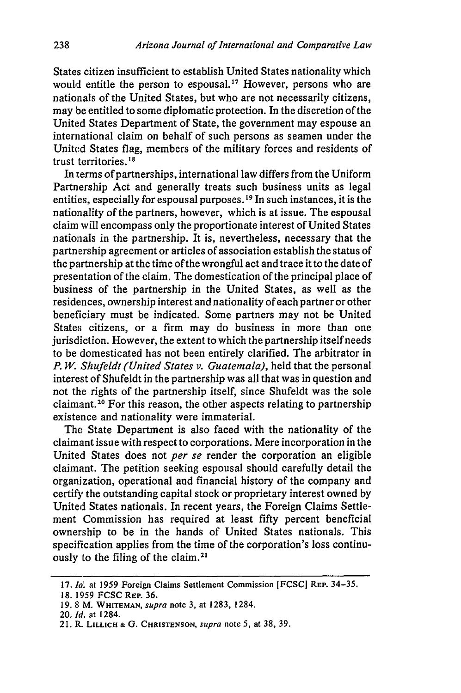States citizen insufficient to establish United States nationality which would entitle the person to espousal.<sup>17</sup> However, persons who are nationals of the United States, but who are not necessarily citizens, may be entitled to some diplomatic protection. In the discretion of the United States Department of State, the government may espouse an international claim on behalf of such persons as seamen under the United States flag, members of the military forces and residents of trust territories.18

In terms of partnerships, international law differs from the Uniform Partnership Act and generally treats such business units as legal entities, especially for espousal purposes.<sup>19</sup> In such instances, it is the nationality of the partners, however, which is at issue. The espousal claim will encompass only the proportionate interest of United States nationals in the partnership. It is, nevertheless, necessary that the partnership agreement or articles of association establish the status of the partnership at the time of the wrongful act and trace it to the date of presentation of the claim. The domestication of the principal place of business of the partnership in the United States, as well as the residences, ownership interest and nationality of each partner or other beneficiary must be indicated. Some partners may not be United States citizens, or a firm may do business in more than one jurisdiction. However, the extent to which the partnership itself needs to be domesticated has not been entirely clarified. The arbitrator in *P. W. Shufeldt (United States v. Guatemala),* held that the personal interest of Shufeldt in the partnership was all that was in question and not the rights of the partnership itself, since Shufeldt was the sole claimant. 20 For this reason, the other aspects relating to partnership existence and nationality were immaterial.

The State Department is also faced with the nationality of the claimant issue with respect to corporations. Mere incorporation in the United States does not *per se* render the corporation an eligible claimant. The petition seeking espousal should carefully detail the organization, operational and financial history of the company and certify the outstanding capital stock or proprietary interest owned **by** United States nationals. In recent years, the Foreign Claims Settlement Commission has required at least **fifty** percent beneficial ownership to be in the hands of United States nationals. This specification applies from the time of the corporation's loss continuously to the filing of the claim.<sup>21</sup>

<sup>17.</sup> *Id.* at 1959 Foreign Claims Settlement Commission [FCSC] REP. 34-35.

**<sup>18.</sup>** 1959 FCSC **REP. 36.**

**<sup>19.8</sup>** M. **WHITEMAN,** *supra* note **3,** at **1283,** 1284.

<sup>20.</sup> *Id.* at 1284.

<sup>21.</sup> R. **LILLICH & G. CHRISTENSON,** *supra* note **5,** at **38, 39.**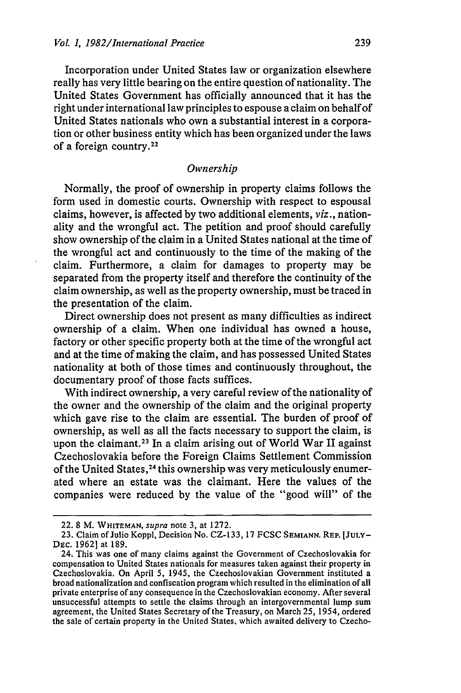Incorporation under United States law or organization elsewhere really has very little bearing on the entire question of nationality. The United States Government has officially announced that it has the right under international law principles to espouse a claim on behalf of United States nationals who own a substantial interest in a corporation or other business entity which has been organized under the laws of a foreign country. <sup>22</sup>

#### *Ownership*

Normally, the proof of ownership in property claims follows the form used in domestic courts. Ownership with respect to espousal claims, however, is affected by two additional elements, *viz.,* nationality and the wrongful act. The petition and proof should carefully show ownership of the claim in a United States national at the time of the wrongful act and continuously to the time of the making of the claim. Furthermore, a claim for damages to property may be separated from the property itself and therefore the continuity of the claim ownership, as well as the property ownership, must be traced in the presentation of the claim.

Direct ownership does not present as many difficulties as indirect ownership of a claim. When one individual has owned a house, factory or other specific property both at the time of the wrongful act and at the time of making the claim, and has possessed United States nationality at both of those times and continuously throughout, the documentary proof of those facts suffices.

With indirect ownership, a very careful review of the nationality of the owner and the ownership of the claim and the original property which gave rise to the claim are essential. The burden of proof of ownership, as well as all the facts necessary to support the claim, is upon the claimant.<sup>23</sup> In a claim arising out of World War II against Czechoslovakia before the Foreign Claims Settlement Commission of the United States, 24 this ownership was very meticulously enumerated where an estate was the claimant. Here the values of the companies were reduced by the value of the "good will" of the

<sup>22.</sup> **8** M. WHITEMAN, *supra* note 3, at **1272.**

<sup>23.</sup> Claim of Julio Koppl, Decision No. **CZ-133,** 17 **FCSC SEMIANN.** REP. **[JULY-**DEC. 1962] at 189.

<sup>24.</sup> This was one of many claims against the Government of Czechoslovakia for compensation to United States nationals for measures taken against their property in Czechoslovakia. On April 5, 1945, the Czechoslovakian Government instituted a broad nationalization and confiscation program which resulted in the elimination of all private enterprise of any consequence in the Czechoslovakian economy. After several unsuccessful attempts to settle the claims through an intergovernmental lump sum agreement, the United States Secretary of the Treasury, on March 25, 1954, ordered the sale of certain property in the United States, which awaited delivery to Czecho-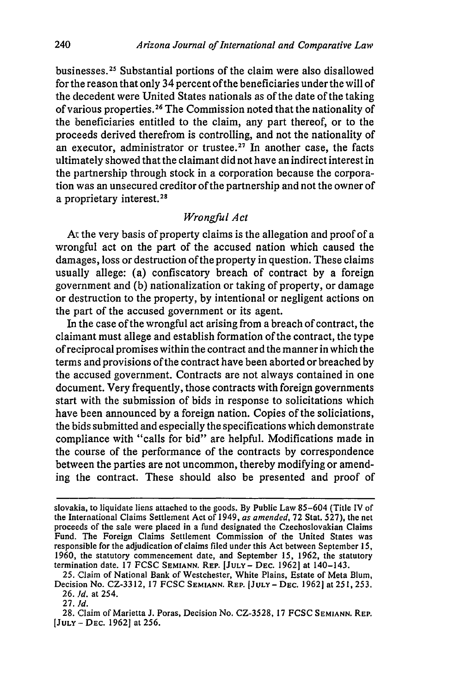businesses.<sup>25</sup> Substantial portions of the claim were also disallowed for the reason that only 34 percent of the beneficiaries under the will of the decedent were United States nationals as of the date of the taking of various properties.<sup>26</sup> The Commission noted that the nationality of the beneficiaries entitled to the claim, any part thereof, or to the proceeds derived therefrom is controlling, and not the nationality of an executor, administrator or trustee.<sup>27</sup> In another case, the facts ultimately showed that the claimant did not have an indirect interest in the partnership through stock in a corporation because the corporation was an unsecured creditor of the partnership and not the owner of a proprietary interest. <sup>28</sup>

## *Wrongful Act*

At the very basis of property claims is the allegation and proof of a wrongful act on the part of the accused nation which caused the damages, loss or destruction of the property in question. These claims usually allege: (a) confiscatory breach of contract by a foreign government and (b) nationalization or taking of property, or damage or destruction to the property, by intentional or negligent actions on the part of the accused government or its agent.

In the case of the wrongful act arising from a breach of contract, the claimant must allege and establish formation of the contract, the type of reciprocal promises within the contract and the manner in which the terms and provisions of the contract have been aborted or breached by the accused government. Contracts are not always contained in one document. Very frequently, those contracts with foreign governments start with the submission of bids in response to solicitations which have been announced by a foreign nation. Copies of the soliciations, the bids submitted and especially the specifications which demonstrate compliance with "calls for bid" are helpful. Modifications made in the course of the performance of the contracts by correspondence between the parties are not uncommon, thereby modifying or amending the contract. These should also be presented and proof of

slovakia, to liquidate liens attached to the goods. By Public Law 85-604 (Title IV of the International Claims Settlement Act of 1949, *as amended,* 72 Stat. 527), the net proceeds of the sale were placed in a fund designated the Czechoslovakian Claims Fund. The Foreign Claims Settlement Commission of the United States was responsible for the adjudication of claims filed under this Act between September 15, 1960, the statutory commencement date, and September 15, 1962, the statutory termination date. 17 FCSC **SEMANN.** REP. **[JULY- DEC.** 19621 at 140-143.

<sup>25.</sup> Claim of National Bank of Westchester, White Plains, Estate of Meta Blum, Decision No. CZ-3312, 17 FCSC **SEMIANN.** REP. [JULY- **DEC.** 19621 at 251, 253. 26. *Id.* at 254.

<sup>27.</sup> *Id.*

<sup>28.</sup> Claim of Marietta J. Poras, Decision No. CZ-3528, 17 FCSC **SEMIANN.** REP. [JULY **-** DEC. 19621 at 256.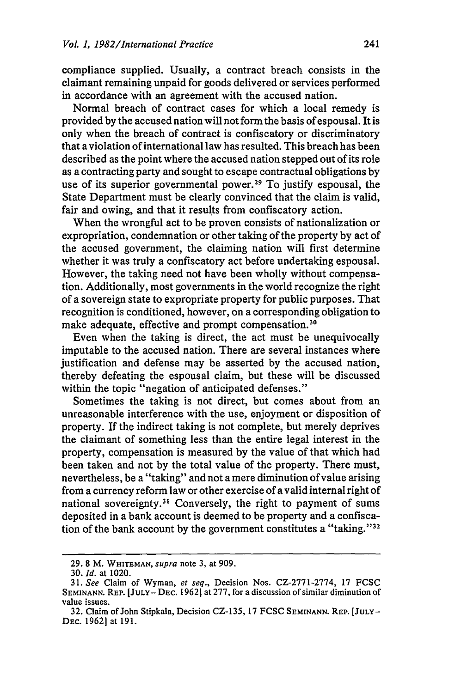compliance supplied. Usually, a contract breach consists in the claimant remaining unpaid for goods delivered or services performed in accordance with an agreement with the accused nation.

Normal breach of contract cases for which a local remedy is provided by the accused nation will not form the basis of espousal. It is only when the breach of contract is confiscatory or discriminatory that a violation of international law has resulted. This breach has been described as the point where the accused nation stepped out of its role as a contracting party and sought to escape contractual obligations by use of its superior governmental power.<sup>29</sup> To justify espousal, the State Department must be clearly convinced that the claim is valid, fair and owing, and that it results from confiscatory action.

When the wrongful act to be proven consists of nationalization or expropriation, condemnation or other taking of the property by act of the accused government, the claiming nation will first determine whether it was truly a confiscatory act before undertaking espousal. However, the taking need not have been wholly without compensation. Additionally, most governments in the world recognize the right of a sovereign state to expropriate property for public purposes. That recognition is conditioned, however, on a corresponding obligation to make adequate, effective and prompt compensation.<sup>30</sup>

Even when the taking is direct, the act must be unequivocally imputable to the accused nation. There are several instances where justification and defense may be asserted by the accused nation, thereby defeating the espousal claim, but these will be discussed within the topic "negation of anticipated defenses."

Sometimes the taking is not direct, but comes about from an unreasonable interference with the use, enjoyment or disposition of property. If the indirect taking is not complete, but merely deprives the claimant of something less than the entire legal interest in the property, compensation is measured by the value of that which had been taken and not by the total value of the property. There must, nevertheless, be a "taking" and not a mere diminution of value arising from a currency reform law or other exercise of a valid internal right of national sovereignty.<sup>31</sup> Conversely, the right to payment of sums deposited in a bank account is deemed to be property and a confiscation of the bank account by the government constitutes a "taking."<sup>32</sup>

<sup>29. 8</sup> M. WHITEMAN, *supra* note 3, at 909.

<sup>30.</sup> *Id.* at 1020.

<sup>31.</sup> *See* Claim of Wyman, *et seq.,* Decision Nos. CZ-2771-2774, 17 FCSC SEMINANN. REP. [JULY-DEC. 1962] at 277, for a discussion of similar diminution of value issues.

<sup>32.</sup> Claim of John Stipkala, Decision CZ-135, 17 FCSC **SEMINANN.** REP. [JULY-DEc. 19621 at 191.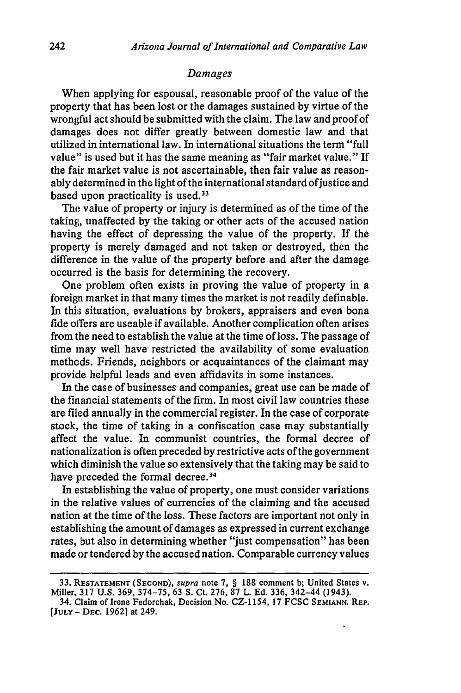#### *Damages*

When applying for espousal, reasonable proof of the value of the property that has been lost or the damages sustained by virtue of the wrongful act should be submitted with the claim. The law and proof of damages does not differ greatly between domestic law and that utilized in international law. In international situations the term "full value" is used but it has the same meaning as "fair market value." If the fair market value is not ascertainable, then fair value as reasonably determined in the light of the international standard of justice and based upon practicality is used. $33$ 

The value of property or injury is determined as of the time of the taking, unaffected by the taking or other acts of the accused nation having the effect of depressing the value of the property. If the property is merely damaged and not taken or destroyed, then the difference in the value of the property before and after the damage occurred is the basis for determining the recovery.

One problem often exists in proving the value of property in a foreign market in that many times the market is not readily definable. In this situation, evaluations by brokers, appraisers and even bona fide offers are useable if available. Another complication often arises from the need to establish the value at the time of loss. The passage of time may well have restricted the availability of some evaluation methods. Friends, neighbors or acquaintances of the claimant may provide helpful leads and even affidavits in some instances.

In the case of businesses and companies, great use can be made of the financial statements of the firm. In most civil law countries these are filed annually in the commercial register. In the case of corporate stock, the time of taking in a confiscation case may substantially affect the value. In communist countries, the formal decree of nationalization is often preceded by restrictive acts of the government which diminish the value so extensively that the taking may be said to have preceded the formal decree.<sup>34</sup>

In establishing the value of property, one must consider variations in the relative values of currencies of the claiming and the accused nation at the time of the loss. These factors are important not only in establishing the amount of damages as expressed in current exchange rates, but also in determining whether "just compensation" has been made or tendered by the accused nation. Comparable currency values

**<sup>33.</sup> RESTATEMENT (SECOND),** supra note **7,** § 188 comment b; United States v. Miller, 317 U.S. 369, 374-75, 63 S. Ct. 276, 87 L. Ed. 336, 342-44 (1943).

<sup>34.</sup> Claim of Irene Fedorchak, Decision No. CZ-1154, 17 FCSC **SEMIANN.** REP. **[JULY- DEC.** 19621 at 249.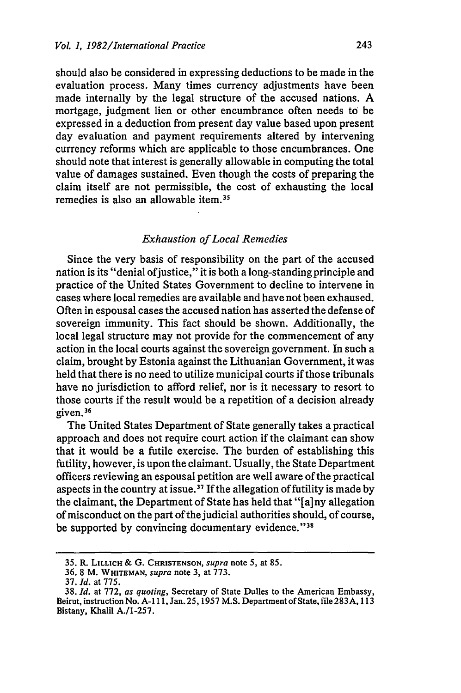should also be considered in expressing deductions to be made in the evaluation process. Many times currency adjustments have been made internally by the legal structure of the accused nations. A mortgage, judgment lien or other encumbrance often needs to be expressed in a deduction from present day value based upon present day evaluation and payment requirements altered by intervening currency reforms which are applicable to those encumbrances. One should note that interest is generally allowable in computing the total value of damages sustained. Even though the costs of preparing the claim itself are not permissible, the cost of exhausting the local remedies is also an allowable item.35

#### *Exhaustion of Local Remedies*

Since the very basis of responsibility on the part of the accused nation is its "denial ofjustice," it is both a long-standing principle and practice of the United States Government to decline to intervene in cases where local remedies are available and have not been exhaused. Often in espousal cases the accused nation has asserted the defense of sovereign immunity. This fact should be shown. Additionally, the local legal structure may not provide for the commencement of any action in the local courts against the sovereign government. In such a claim, brought by Estonia against the Lithuanian Government, it was held that there is no need to utilize municipal courts if those tribunals have no jurisdiction to afford relief, nor is it necessary to resort to those courts if the result would be a repetition of a decision already given.36

The United States Department of State generally takes a practical approach and does not require court action if the claimant can show that it would be a futile exercise. The burden of establishing this futility, however, is upon the claimant. Usually, the State Department officers reviewing an espousal petition are well aware of the practical aspects in the country at issue.<sup>37</sup> If the allegation of futility is made by the claimant, the Department of State has held that "[a]ny allegation of misconduct on the part of the judicial authorities should, of course, be supported by convincing documentary evidence."38

**<sup>35.</sup>** R **LILLICH & G. CHRISTENSON,** *supra* note **5,** at 85.

**<sup>36.</sup>** 8 M. **WHITEMAN,** *supra* note 3, at 773.

<sup>37.</sup> *Id.* at 775.

<sup>38.</sup> *Id.* at 772, *as quoting,* Secretary of State Dulles to the American Embassy, Beirut, instruction No. A-111, Jan. 25, 1957 M.S. Department of State, file 283A, 113 Bistany, Khalil A./1-257.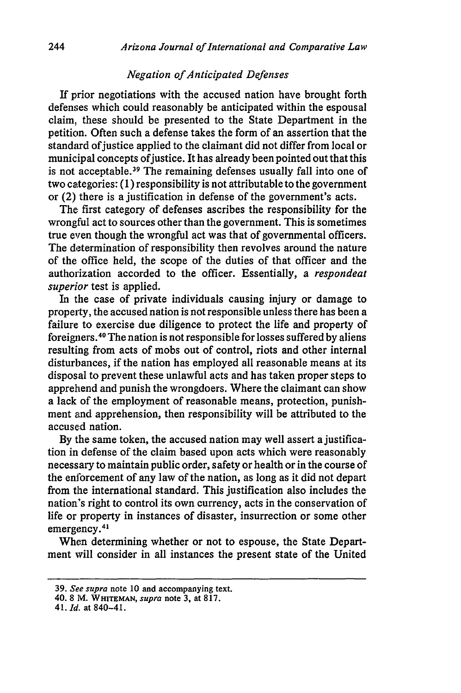#### *Negation of Anticipated Defenses*

If prior negotiations with the accused nation have brought forth defenses which could reasonably be anticipated within the espousal claim, these should be presented to the State Department in the petition. Often such a defense takes the form of an assertion that the standard of justice applied to the claimant did not differ from local or municipal concepts of justice. It has already been pointed out that this is not acceptable.<sup>39</sup> The remaining defenses usually fall into one of two categories: (1) responsibility is not attributable to the government or (2) there is a justification in defense of the government's acts.

The first category of defenses ascribes the responsibility for the wrongful act to sources other than the government. This is sometimes true even though the wrongful act was that of governmental officers. The determination of responsibility then revolves around the nature of the office held, the scope of the duties of that officer and the authorization accorded to the officer. Essentially, a *respondeat superior* test is applied.

In the case of private individuals causing injury or damage to property, the accused nation is not responsible unless there has been a failure to exercise due diligence to protect the life and property of foreigners . 40 The nation is not responsible for losses suffered by aliens resulting from acts of mobs out of control, riots and other internal disturbances, if the nation has employed all reasonable means at its disposal to prevent these unlawful acts and has taken proper steps to apprehend and punish the wrongdoers. Where the claimant can show a lack of the employment of reasonable means, protection, punishment and apprehension, then responsibility will be attributed to the accused nation.

By the same token, the accused nation may well assert a justification in defense of the claim based upon acts which were reasonably necessary to maintain public order, safety or health or in the course of the enforcement of any law of the nation, as long as it did not depart from the international standard. This justification also includes the nation's right to control its own currency, acts in the conservation of life or property in instances of disaster, insurrection or some other me or proper

When determining whether or not to espouse, the State Department will consider in all instances the present state of the United

41. *Id.* at 840-41.

<sup>39.</sup> *See supra* note 10 and accompanying text.

<sup>40. 8</sup> **Mq.** *WHITEMAN, supra* note 3, at 817.